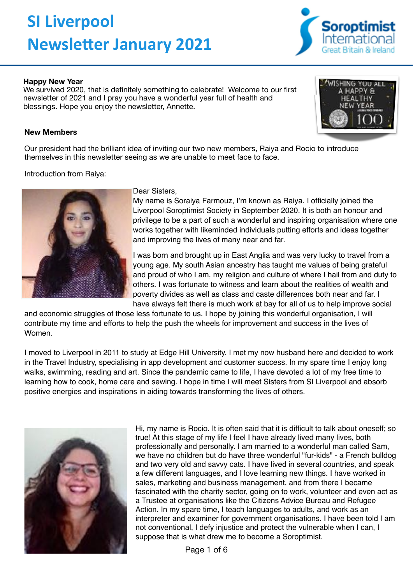# **SI Liverpool Newsletter January 2021**



We survived 2020, that is definitely something to celebrate! Welcome to our first newsletter of 2021 and I pray you have a wonderful year full of health and blessings. Hope you enjoy the newsletter, Annette.

# **New Members**

Our president had the brilliant idea of inviting our two new members, Raiya and Rocio to introduce themselves in this newsletter seeing as we are unable to meet face to face.

Introduction from Raiya:



### Dear Sisters,

My name is Soraiya Farmouz, I'm known as Raiya. I officially joined the Liverpool Soroptimist Society in September 2020. It is both an honour and privilege to be a part of such a wonderful and inspiring organisation where one works together with likeminded individuals putting efforts and ideas together and improving the lives of many near and far.

I was born and brought up in East Anglia and was very lucky to travel from a young age. My south Asian ancestry has taught me values of being grateful and proud of who I am, my religion and culture of where I hail from and duty to others. I was fortunate to witness and learn about the realities of wealth and poverty divides as well as class and caste differences both near and far. I have always felt there is much work at bay for all of us to help improve social

and economic struggles of those less fortunate to us. I hope by joining this wonderful organisation, I will contribute my time and efforts to help the push the wheels for improvement and success in the lives of Women.

I moved to Liverpool in 2011 to study at Edge Hill University. I met my now husband here and decided to work in the Travel Industry, specialising in app development and customer success. In my spare time I enjoy long walks, swimming, reading and art. Since the pandemic came to life, I have devoted a lot of my free time to learning how to cook, home care and sewing. I hope in time I will meet Sisters from SI Liverpool and absorb positive energies and inspirations in aiding towards transforming the lives of others.



Hi, my name is Rocio. It is often said that it is difficult to talk about oneself; so true! At this stage of my life I feel I have already lived many lives, both professionally and personally. I am married to a wonderful man called Sam, we have no children but do have three wonderful "fur-kids" - a French bulldog and two very old and savvy cats. I have lived in several countries, and speak a few different languages, and I love learning new things. I have worked in sales, marketing and business management, and from there I became fascinated with the charity sector, going on to work, volunteer and even act as a Trustee at organisations like the Citizens Advice Bureau and Refugee Action. In my spare time, I teach languages to adults, and work as an interpreter and examiner for government organisations. I have been told I am not conventional, I defy injustice and protect the vulnerable when I can, I suppose that is what drew me to become a Soroptimist.

Page 1 of 6



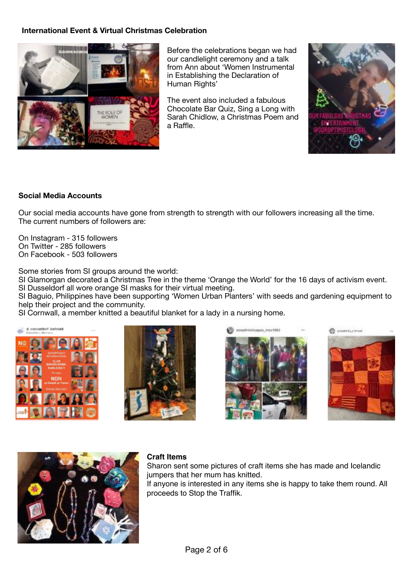# **International Event & Virtual Christmas Celebration**



Before the celebrations began we had our candlelight ceremony and a talk from Ann about 'Women Instrumental in Establishing the Declaration of Human Rights'

The event also included a fabulous Chocolate Bar Quiz, Sing a Long with Sarah Chidlow, a Christmas Poem and a Raffle.



# **Social Media Accounts**

Our social media accounts have gone from strength to strength with our followers increasing all the time. The current numbers of followers are:

On Instagram - 315 followers On Twitter - 285 followers On Facebook - 503 followers

Some stories from SI groups around the world:

SI Glamorgan decorated a Christmas Tree in the theme 'Orange the World' for the 16 days of activism event. SI Dusseldorf all wore orange SI masks for their virtual meeting.

SI Baguio, Philippines have been supporting 'Women Urban Planters' with seeds and gardening equipment to help their project and the community.

SI Cornwall, a member knitted a beautiful blanket for a lady in a nursing home.











## **Craft Items**

Sharon sent some pictures of craft items she has made and Icelandic jumpers that her mum has knitted.

If anyone is interested in any items she is happy to take them round. All proceeds to Stop the Traffik.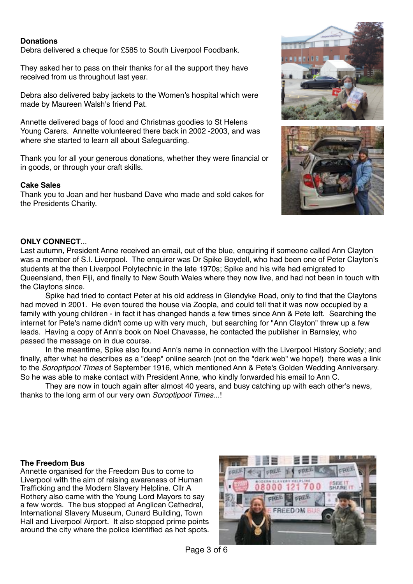# **Donations**

Debra delivered a cheque for £585 to South Liverpool Foodbank.

They asked her to pass on their thanks for all the support they have received from us throughout last year.

Debra also delivered baby jackets to the Women's hospital which were made by Maureen Walsh's friend Pat.

Annette delivered bags of food and Christmas goodies to St Helens Young Carers. Annette volunteered there back in 2002 -2003, and was where she started to learn all about Safeguarding.

Thank you for all your generous donations, whether they were financial or in goods, or through your craft skills.

#### **Cake Sales**

Thank you to Joan and her husband Dave who made and sold cakes for the Presidents Charity.



### **ONLY CONNECT**...

Last autumn, President Anne received an email, out of the blue, enquiring if someone called Ann Clayton was a member of S.I. Liverpool. The enquirer was Dr Spike Boydell, who had been one of Peter Clayton's students at the then Liverpool Polytechnic in the late 1970s; Spike and his wife had emigrated to Queensland, then Fiji, and finally to New South Wales where they now live, and had not been in touch with the Claytons since.

Spike had tried to contact Peter at his old address in Glendyke Road, only to find that the Claytons had moved in 2001. He even toured the house via Zoopla, and could tell that it was now occupied by a family with young children - in fact it has changed hands a few times since Ann & Pete left. Searching the internet for Pete's name didn't come up with very much, but searching for "Ann Clayton" threw up a few leads. Having a copy of Ann's book on Noel Chavasse, he contacted the publisher in Barnsley, who passed the message on in due course.

In the meantime, Spike also found Ann's name in connection with the Liverpool History Society; and finally, after what he describes as a "deep" online search (not on the "dark web" we hope!) there was a link to the *Soroptipool Times* of September 1916, which mentioned Ann & Pete's Golden Wedding Anniversary. So he was able to make contact with President Anne, who kindly forwarded his email to Ann C.

They are now in touch again after almost 40 years, and busy catching up with each other's news, thanks to the long arm of our very own *Soroptipool Times*...!

#### **The Freedom Bus**

Annette organised for the Freedom Bus to come to Liverpool with the aim of raising awareness of Human Trafficking and the Modern Slavery Helpline. Cllr A Rothery also came with the Young Lord Mayors to say a few words. The bus stopped at Anglican Cathedral, International Slavery Museum, Cunard Building, Town Hall and Liverpool Airport. It also stopped prime points around the city where the police identified as hot spots.

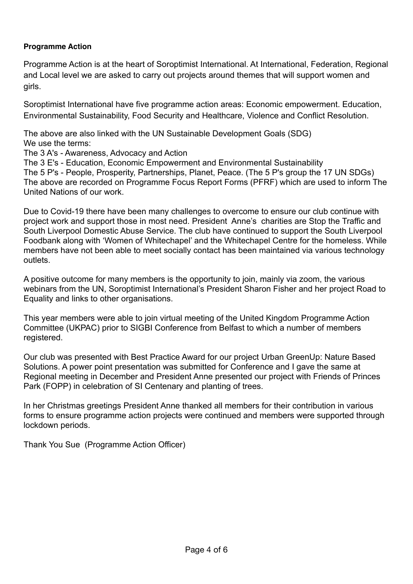# **Programme Action**

Programme Action is at the heart of Soroptimist International. At International, Federation, Regional and Local level we are asked to carry out projects around themes that will support women and girls.

Soroptimist International have five programme action areas: Economic empowerment. Education, Environmental Sustainability, Food Security and Healthcare, Violence and Conflict Resolution.

The above are also linked with the UN Sustainable Development Goals (SDG) We use the terms:

The 3 A's - Awareness, Advocacy and Action

The 3 E's - Education, Economic Empowerment and Environmental Sustainability

The 5 P's - People, Prosperity, Partnerships, Planet, Peace. (The 5 P's group the 17 UN SDGs) The above are recorded on Programme Focus Report Forms (PFRF) which are used to inform The United Nations of our work.

Due to Covid-19 there have been many challenges to overcome to ensure our club continue with project work and support those in most need. President Anne's charities are Stop the Traffic and South Liverpool Domestic Abuse Service. The club have continued to support the South Liverpool Foodbank along with 'Women of Whitechapel' and the Whitechapel Centre for the homeless. While members have not been able to meet socially contact has been maintained via various technology outlets.

A positive outcome for many members is the opportunity to join, mainly via zoom, the various webinars from the UN, Soroptimist International's President Sharon Fisher and her project Road to Equality and links to other organisations.

This year members were able to join virtual meeting of the United Kingdom Programme Action Committee (UKPAC) prior to SIGBI Conference from Belfast to which a number of members registered.

Our club was presented with Best Practice Award for our project Urban GreenUp: Nature Based Solutions. A power point presentation was submitted for Conference and I gave the same at Regional meeting in December and President Anne presented our project with Friends of Princes Park (FOPP) in celebration of SI Centenary and planting of trees.

In her Christmas greetings President Anne thanked all members for their contribution in various forms to ensure programme action projects were continued and members were supported through lockdown periods.

Thank You Sue (Programme Action Officer)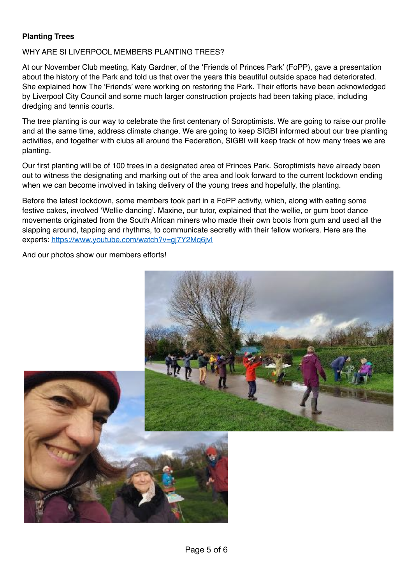# **Planting Trees**

# WHY ARE SITIVERPOOL MEMBERS PLANTING TREES?

At our November Club meeting, Katy Gardner, of the 'Friends of Princes Park' (FoPP), gave a presentation about the history of the Park and told us that over the years this beautiful outside space had deteriorated. She explained how The 'Friends' were working on restoring the Park. Their efforts have been acknowledged by Liverpool City Council and some much larger construction projects had been taking place, including dredging and tennis courts.

The tree planting is our way to celebrate the first centenary of Soroptimists. We are going to raise our profile and at the same time, address climate change. We are going to keep SIGBI informed about our tree planting activities, and together with clubs all around the Federation, SIGBI will keep track of how many trees we are planting.

Our first planting will be of 100 trees in a designated area of Princes Park. Soroptimists have already been out to witness the designating and marking out of the area and look forward to the current lockdown ending when we can become involved in taking delivery of the young trees and hopefully, the planting.

Before the latest lockdown, some members took part in a FoPP activity, which, along with eating some festive cakes, involved 'Wellie dancing'. Maxine, our tutor, explained that the wellie, or gum boot dance movements originated from the South African miners who made their own boots from gum and used all the slapping around, tapping and rhythms, to communicate secretly with their fellow workers. Here are the experts: https://www.youtube.com/watch?v=gj7Y2Mq6jvI

And our photos show our members efforts!